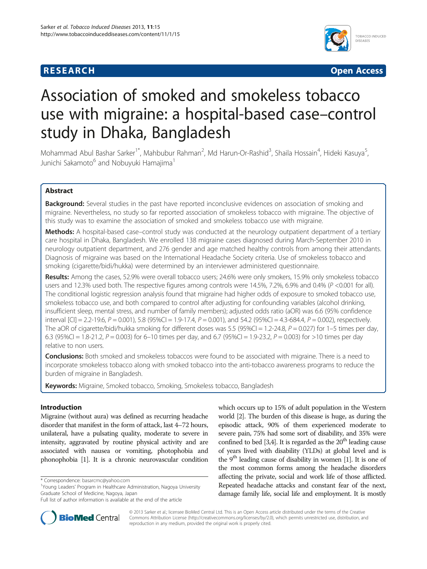# **RESEARCH RESEARCH** *CHECKER CHECKER CHECKER CHECKER CHECKER CHECKER CHECKER CHECKER CHECKER CHECKER CHECKER*



# Association of smoked and smokeless tobacco use with migraine: a hospital-based case–control study in Dhaka, Bangladesh

Mohammad Abul Bashar Sarker<sup>1\*</sup>, Mahbubur Rahman<sup>2</sup>, Md Harun-Or-Rashid<sup>3</sup>, Shaila Hossain<sup>4</sup>, Hideki Kasuya<sup>5</sup> , Junichi Sakamoto<sup>6</sup> and Nobuyuki Hamajima<sup>1</sup>

# Abstract

**Background:** Several studies in the past have reported inconclusive evidences on association of smoking and migraine. Nevertheless, no study so far reported association of smokeless tobacco with migraine. The objective of this study was to examine the association of smoked and smokeless tobacco use with migraine.

Methods: A hospital-based case–control study was conducted at the neurology outpatient department of a tertiary care hospital in Dhaka, Bangladesh. We enrolled 138 migraine cases diagnosed during March-September 2010 in neurology outpatient department, and 276 gender and age matched healthy controls from among their attendants. Diagnosis of migraine was based on the International Headache Society criteria. Use of smokeless tobacco and smoking (cigarette/bidi/hukka) were determined by an interviewer administered questionnaire.

Results: Among the cases, 52.9% were overall tobacco users; 24.6% were only smokers, 15.9% only smokeless tobacco users and 12.3% used both. The respective figures among controls were 14.5%, 7.2%, 6.9% and 0.4% (P <0.001 for all). The conditional logistic regression analysis found that migraine had higher odds of exposure to smoked tobacco use, smokeless tobacco use, and both compared to control after adjusting for confounding variables (alcohol drinking, insufficient sleep, mental stress, and number of family members); adjusted odds ratio (aOR) was 6.6 (95% confidence interval  $|C| = 2.2-19.6$ ,  $P = 0.001$ ), 5.8 (95%CI = 1.9-17.4,  $P = 0.001$ ), and 54.2 (95%CI = 4.3-684.4,  $P = 0.002$ ), respectively. The aOR of cigarette/bidi/hukka smoking for different doses was 5.5 (95%CI = 1.2-24.8,  $P = 0.027$ ) for 1–5 times per day, 6.3 (95%CI = 1.8-21.2,  $P = 0.003$ ) for 6-10 times per day, and 6.7 (95%CI = 1.9-23.2,  $P = 0.003$ ) for >10 times per day relative to non users.

**Conclusions:** Both smoked and smokeless tobaccos were found to be associated with migraine. There is a need to incorporate smokeless tobacco along with smoked tobacco into the anti-tobacco awareness programs to reduce the burden of migraine in Bangladesh.

Keywords: Migraine, Smoked tobacco, Smoking, Smokeless tobacco, Bangladesh

# Introduction

Migraine (without aura) was defined as recurring headache disorder that manifest in the form of attack, last 4–72 hours, unilateral, have a pulsating quality, moderate to severe in intensity, aggravated by routine physical activity and are associated with nausea or vomiting, photophobia and phonophobia [\[1\]](#page-4-0). It is a chronic neurovascular condition

which occurs up to 15% of adult population in the Western world [\[2\]](#page-4-0). The burden of this disease is huge, as during the episodic attack, 90% of them experienced moderate to severe pain, 75% had some sort of disability, and 35% were confined to bed [\[3,4](#page-4-0)]. It is regarded as the  $20<sup>th</sup>$  leading cause of years lived with disability (YLDs) at global level and is the 9<sup>th</sup> leading cause of disability in women [[1](#page-4-0)]. It is one of the most common forms among the headache disorders affecting the private, social and work life of those afflicted. Repeated headache attacks and constant fear of the next, damage family life, social life and employment. It is mostly



© 2013 Sarker et al.; licensee BioMed Central Ltd. This is an Open Access article distributed under the terms of the Creative Commons Attribution License [\(http://creativecommons.org/licenses/by/2.0\)](http://creativecommons.org/licenses/by/2.0), which permits unrestricted use, distribution, and reproduction in any medium, provided the original work is properly cited.

<sup>\*</sup> Correspondence: [basarcmc@yahoo.com](mailto:basarcmc@yahoo.com) <sup>1</sup>

<sup>&</sup>lt;sup>1</sup>Young Leaders' Program in Healthcare Administration, Nagoya University Graduate School of Medicine, Nagoya, Japan

Full list of author information is available at the end of the article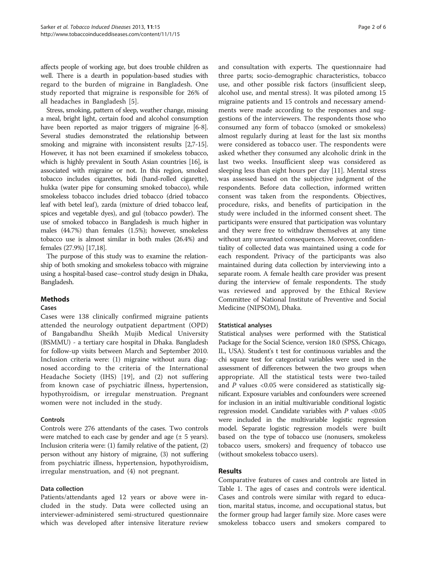affects people of working age, but does trouble children as well. There is a dearth in population-based studies with regard to the burden of migraine in Bangladesh. One study reported that migraine is responsible for 26% of all headaches in Bangladesh [[5](#page-4-0)].

Stress, smoking, pattern of sleep, weather change, missing a meal, bright light, certain food and alcohol consumption have been reported as major triggers of migraine [[6](#page-4-0)-[8](#page-4-0)]. Several studies demonstrated the relationship between smoking and migraine with inconsistent results [\[2,7-](#page-4-0)[15](#page-5-0)]. However, it has not been examined if smokeless tobacco, which is highly prevalent in South Asian countries [\[16\]](#page-5-0), is associated with migraine or not. In this region, smoked tobacco includes cigarettes, bidi (hand-rolled cigarette), hukka (water pipe for consuming smoked tobacco), while smokeless tobacco includes dried tobacco (dried tobacco leaf with betel leaf), zarda (mixture of dried tobacco leaf, spices and vegetable dyes), and gul (tobacco powder). The use of smoked tobacco in Bangladesh is much higher in males (44.7%) than females (1.5%); however, smokeless tobacco use is almost similar in both males (26.4%) and females (27.9%) [\[17,18\]](#page-5-0).

The purpose of this study was to examine the relationship of both smoking and smokeless tobacco with migraine using a hospital-based case–control study design in Dhaka, Bangladesh.

# Methods

# Cases

Cases were 138 clinically confirmed migraine patients attended the neurology outpatient department (OPD) of Bangabandhu Sheikh Mujib Medical University (BSMMU) - a tertiary care hospital in Dhaka. Bangladesh for follow-up visits between March and September 2010. Inclusion criteria were: (1) migraine without aura diagnosed according to the criteria of the International Headache Society (IHS) [\[19](#page-5-0)], and (2) not suffering from known case of psychiatric illness, hypertension, hypothyroidism, or irregular menstruation. Pregnant women were not included in the study.

# Controls

Controls were 276 attendants of the cases. Two controls were matched to each case by gender and age  $(\pm 5 \text{ years})$ . Inclusion criteria were: (1) family relative of the patient, (2) person without any history of migraine, (3) not suffering from psychiatric illness, hypertension, hypothyroidism, irregular menstruation, and (4) not pregnant.

# Data collection

Patients/attendants aged 12 years or above were included in the study. Data were collected using an interviewer-administered semi-structured questionnaire which was developed after intensive literature review

and consultation with experts. The questionnaire had three parts; socio-demographic characteristics, tobacco use, and other possible risk factors (insufficient sleep, alcohol use, and mental stress). It was piloted among 15 migraine patients and 15 controls and necessary amendments were made according to the responses and suggestions of the interviewers. The respondents those who consumed any form of tobacco (smoked or smokeless) almost regularly during at least for the last six months were considered as tobacco user. The respondents were asked whether they consumed any alcoholic drink in the last two weeks. Insufficient sleep was considered as sleeping less than eight hours per day [[11\]](#page-4-0). Mental stress was assessed based on the subjective judgment of the respondents. Before data collection, informed written consent was taken from the respondents. Objectives, procedure, risks, and benefits of participation in the study were included in the informed consent sheet. The participants were ensured that participation was voluntary and they were free to withdraw themselves at any time without any unwanted consequences. Moreover, confidentiality of collected data was maintained using a code for each respondent. Privacy of the participants was also maintained during data collection by interviewing into a separate room. A female health care provider was present during the interview of female respondents. The study was reviewed and approved by the Ethical Review Committee of National Institute of Preventive and Social Medicine (NIPSOM), Dhaka.

#### Statistical analyses

Statistical analyses were performed with the Statistical Package for the Social Science, version 18.0 (SPSS, Chicago, IL, USA). Student's t test for continuous variables and the chi square test for categorical variables were used in the assessment of differences between the two groups when appropriate. All the statistical tests were two-tailed and  $P$  values <0.05 were considered as statistically significant. Exposure variables and confounders were screened for inclusion in an initial multivariable conditional logistic regression model. Candidate variables with  $P$  values <0.05 were included in the multivariable logistic regression model. Separate logistic regression models were built based on the type of tobacco use (nonusers, smokeless tobacco users, smokers) and frequency of tobacco use (without smokeless tobacco users).

# Results

Comparative features of cases and controls are listed in Table [1.](#page-2-0) The ages of cases and controls were identical. Cases and controls were similar with regard to education, marital status, income, and occupational status, but the former group had larger family size. More cases were smokeless tobacco users and smokers compared to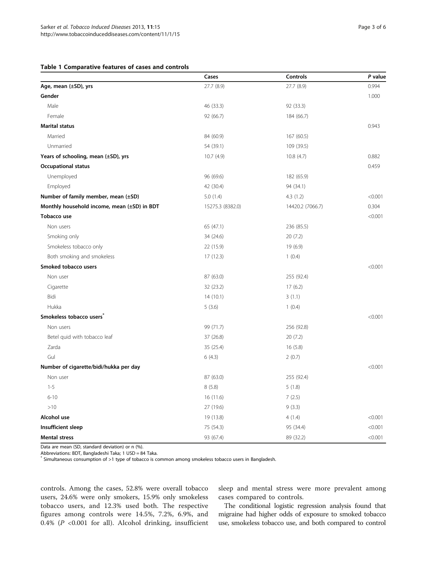#### <span id="page-2-0"></span>Table 1 Comparative features of cases and controls

|                                             | Cases            | Controls         | P value |
|---------------------------------------------|------------------|------------------|---------|
| Age, mean (±SD), yrs                        | 27.7 (8.9)       | 27.7 (8.9)       | 0.994   |
| Gender                                      |                  |                  | 1.000   |
| Male                                        | 46 (33.3)        | 92 (33.3)        |         |
| Female                                      | 92(66.7)         | 184 (66.7)       |         |
| <b>Marital status</b>                       |                  |                  | 0.943   |
| Married                                     | 84 (60.9)        | 167 (60.5)       |         |
| Unmarried                                   | 54 (39.1)        | 109 (39.5)       |         |
| Years of schooling, mean (±SD), yrs         | 10.7(4.9)        | 10.8(4.7)        | 0.882   |
| <b>Occupational status</b>                  |                  |                  | 0.459   |
| Unemployed                                  | 96 (69.6)        | 182 (65.9)       |         |
| Employed                                    | 42 (30.4)        | 94 (34.1)        |         |
| Number of family member, mean (±SD)         | 5.0(1.4)         | 4.3(1.2)         | < 0.001 |
| Monthly household income, mean (±SD) in BDT | 15275.3 (8382.0) | 14420.2 (7066.7) | 0.304   |
| Tobacco use                                 |                  |                  | < 0.001 |
| Non users                                   | 65 (47.1)        | 236 (85.5)       |         |
| Smoking only                                | 34 (24.6)        | 20(7.2)          |         |
| Smokeless tobacco only                      | 22 (15.9)        | 19 (6.9)         |         |
| Both smoking and smokeless                  | 17(12.3)         | 1(0.4)           |         |
| Smoked tobacco users                        |                  |                  | < 0.001 |
| Non user                                    | 87 (63.0)        | 255 (92.4)       |         |
| Cigarette                                   | 32 (23.2)        | 17(6.2)          |         |
| Bidi                                        | 14(10.1)         | 3(1.1)           |         |
| Hukka                                       | 5(3.6)           | 1(0.4)           |         |
| Smokeless tobacco users <sup>®</sup>        |                  |                  | < 0.001 |
| Non users                                   | 99 (71.7)        | 256 (92.8)       |         |
| Betel quid with tobacco leaf                | 37(26.8)         | 20(7.2)          |         |
| Zarda                                       | 35 (25.4)        | 16(5.8)          |         |
| Gul                                         | 6(4.3)           | 2(0.7)           |         |
| Number of cigarette/bidi/hukka per day      |                  |                  | < 0.001 |
| Non user                                    | 87 (63.0)        | 255 (92.4)       |         |
| $1 - 5$                                     | 8(5.8)           | 5(1.8)           |         |
| $6 - 10$                                    | 16(11.6)         | 7(2.5)           |         |
| >10                                         | 27 (19.6)        | 9(3.3)           |         |
| Alcohol use                                 | 19 (13.8)        | 4(1.4)           | < 0.001 |
| Insufficient sleep                          | 75 (54.3)        | 95 (34.4)        | < 0.001 |
| <b>Mental stress</b>                        | 93 (67.4)        | 89 (32.2)        | < 0.001 |

Data are mean (SD, standard deviation) or n (%).

Abbreviations: BDT, Bangladeshi Taka; 1 USD = 84 Taka.

\* Simultaneous consumption of >1 type of tobacco is common among smokeless tobacco users in Bangladesh.

controls. Among the cases, 52.8% were overall tobacco users, 24.6% were only smokers, 15.9% only smokeless tobacco users, and 12.3% used both. The respective figures among controls were 14.5%, 7.2%, 6.9%, and 0.4% (P <0.001 for all). Alcohol drinking, insufficient sleep and mental stress were more prevalent among cases compared to controls.

The conditional logistic regression analysis found that migraine had higher odds of exposure to smoked tobacco use, smokeless tobacco use, and both compared to control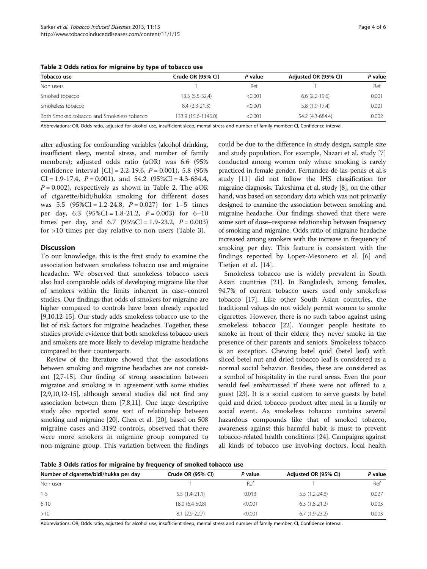|                                           |                     |         | Adjusted OR (95% CI) | P value |
|-------------------------------------------|---------------------|---------|----------------------|---------|
| Tobacco use                               | Crude OR (95% CI)   | P value |                      |         |
| Non users                                 |                     | Ref     |                      | Ref     |
| Smoked tobacco                            | 13.3 (5.5-32.4)     | < 0.001 | $6.6(2.2-19.6)$      | 0.001   |
| Smokeless tobacco                         | $8.4(3.3-21.3)$     | < 0.001 | $5.8(1.9-17.4)$      | 0.001   |
| Both Smoked tobacco and Smokeless tobacco | 133.9 (15.6-1146.0) | < 0.001 | 54.2 (4.3-684.4)     | 0.002   |

Table 2 Odds ratios for migraine by type of tobacco use

Abbreviations: OR, Odds ratio, adjusted for alcohol use, insufficient sleep, mental stress and number of family member; CI, Confidence interval.

after adjusting for confounding variables (alcohol drinking, insufficient sleep, mental stress, and number of family members); adjusted odds ratio (aOR) was 6.6 (95% confidence interval  $|CI| = 2.2 - 19.6$ ,  $P = 0.001$ ), 5.8 (95%)  $CI = 1.9 - 17.4$ ,  $P = 0.001$ ), and  $54.2$  (95% $CI = 4.3 - 684.4$ ,  $P = 0.002$ ), respectively as shown in Table 2. The aOR of cigarette/bidi/hukka smoking for different doses was  $5.5 \left(95\% \text{CI} = 1.2 - 24.8, P = 0.027\right)$  for  $1-5$  times per day,  $6.3 \left(95\% \text{CI} = 1.8-21.2, P = 0.003\right)$  for  $6-10$ times per day, and  $6.7$  (95%CI = 1.9-23.2,  $P = 0.003$ ) for >10 times per day relative to non users (Table 3).

#### **Discussion**

To our knowledge, this is the first study to examine the association between smokeless tobacco use and migraine headache. We observed that smokeless tobacco users also had comparable odds of developing migraine like that of smokers within the limits inherent in case–control studies. Our findings that odds of smokers for migraine are higher compared to controls have been already reported [[9,10,12](#page-4-0)[-15](#page-5-0)]. Our study adds smokeless tobacco use to the list of risk factors for migraine headaches. Together, these studies provide evidence that both smokeless tobacco users and smokers are more likely to develop migraine headache compared to their counterparts.

Review of the literature showed that the associations between smoking and migraine headaches are not consistent [[2,7](#page-4-0)[-15\]](#page-5-0). Our finding of strong association between migraine and smoking is in agreement with some studies [[2,9,10,12](#page-4-0)[-15\]](#page-5-0), although several studies did not find any association between them [\[7,8,11\]](#page-4-0). One large descriptive study also reported some sort of relationship between smoking and migraine [\[20](#page-5-0)]. Chen et al. [[20\]](#page-5-0), based on 508 migraine cases and 3192 controls, observed that there were more smokers in migraine group compared to non-migraine group. This variation between the findings

could be due to the difference in study design, sample size and study population. For example, Nazari et al. study [[7](#page-4-0)] conducted among women only where smoking is rarely practiced in female gender. Fernandez-de-las-penas et al.'s study [\[11\]](#page-4-0) did not follow the IHS classification for migraine diagnosis. Takeshima et al. study [[8](#page-4-0)], on the other hand, was based on secondary data which was not primarily designed to examine the association between smoking and migraine headache. Our findings showed that there were some sort of dose–response relationship between frequency of smoking and migraine. Odds ratio of migraine headache increased among smokers with the increase in frequency of smoking per day. This feature is consistent with the findings reported by Lopez-Mesonero et al. [\[6](#page-4-0)] and Tietjen et al. [\[14](#page-4-0)].

Smokeless tobacco use is widely prevalent in South Asian countries [\[21](#page-5-0)]. In Bangladesh, among females, 94.7% of current tobacco users used only smokeless tobacco [[17\]](#page-5-0). Like other South Asian countries, the traditional values do not widely permit women to smoke cigarettes. However, there is no such taboo against using smokeless tobacco [\[22](#page-5-0)]. Younger people hesitate to smoke in front of their elders; they never smoke in the presence of their parents and seniors. Smokeless tobacco is an exception. Chewing betel quid (betel leaf) with sliced betel nut and dried tobacco leaf is considered as a normal social behavior. Besides, these are considered as a symbol of hospitality in the rural areas. Even the poor would feel embarrassed if these were not offered to a guest [[23\]](#page-5-0). It is a social custom to serve guests by betel quid and dried tobacco product after meal in a family or social event. As smokeless tobacco contains several hazardous compounds like that of smoked tobacco, awareness against this harmful habit is must to prevent tobacco-related health conditions [\[24\]](#page-5-0). Campaigns against all kinds of tobacco use involving doctors, local health

Table 3 Odds ratios for migraine by frequency of smoked tobacco use

| Number of cigarette/bidi/hukka per day | Crude OR (95% CI) | P value | Adjusted OR (95% CI) | P value |
|----------------------------------------|-------------------|---------|----------------------|---------|
| Non user                               |                   | Ref     |                      | Ref     |
| 1-5                                    | $5.5(1.4-21.1)$   | 0.013   | $5.5(1.2-24.8)$      | 0.027   |
| $6 - 10$                               | 18.0 (6.4-50.8)   | < 0.001 | $6.3(1.8-21.2)$      | 0.003   |
| >10                                    | $8.1(2.9-22.7)$   | < 0.001 | $6.7(1.9-23.2)$      | 0.003   |

Abbreviations: OR, Odds ratio, adjusted for alcohol use, insufficient sleep, mental stress and number of family member; CI, Confidence interval.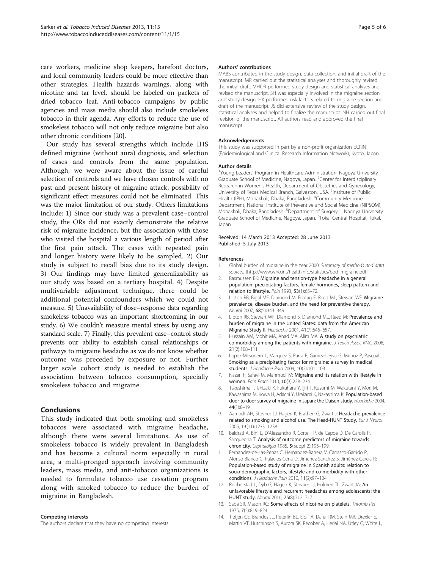<span id="page-4-0"></span>care workers, medicine shop keepers, barefoot doctors, and local community leaders could be more effective than other strategies. Health hazards warnings, along with nicotine and tar level, should be labeled on packets of dried tobacco leaf. Anti-tobacco campaigns by public agencies and mass media should also include smokeless tobacco in their agenda. Any efforts to reduce the use of smokeless tobacco will not only reduce migraine but also other chronic conditions [\[20\]](#page-5-0).

Our study has several strengths which include IHS defined migraine (without aura) diagnosis, and selection of cases and controls from the same population. Although, we were aware about the issue of careful selection of controls and we have chosen controls with no past and present history of migraine attack, possibility of significant effect measures could not be eliminated. This was the major limitation of our study. Others limitations include: 1) Since our study was a prevalent case–control study, the ORs did not exactly demonstrate the relative risk of migraine incidence, but the association with those who visited the hospital a various length of period after the first pain attack. The cases with repeated pain and longer history were likely to be sampled. 2) Our study is subject to recall bias due to its study design. 3) Our findings may have limited generalizability as our study was based on a tertiary hospital. 4) Despite multivariable adjustment technique, there could be additional potential confounders which we could not measure. 5) Unavailability of dose–response data regarding smokeless tobacco was an important shortcoming in our study. 6) We couldn't measure mental stress by using any standard scale. 7) Finally, this prevalent case–control study prevents our ability to establish causal relationships or pathways to migraine headache as we do not know whether outcome was preceded by exposure or not. Further larger scale cohort study is needed to establish the association between tobacco consumption, specially smokeless tobacco and migraine.

# Conclusions

This study indicated that both smoking and smokeless tobaccos were associated with migraine headache, although there were several limitations. As use of smokeless tobacco is widely prevalent in Bangladesh and has become a cultural norm especially in rural area, a multi-pronged approach involving community leaders, mass media, and anti-tobacco organizations is needed to formulate tobacco use cessation program along with smoked tobacco to reduce the burden of migraine in Bangladesh.

#### Competing interests

The authors declare that they have no competing interests.

#### Authors' contributions

MABS contributed in the study design, data collection, and initial draft of the manuscript. MR carried out the statistical analyses and thoroughly revised the initial draft. MHOR performed study design and statistical analyses and revised the manuscript. SH was especially involved in the migraine section and study design. HK performed risk factors related to migraine section and draft of the manuscript. JS did extensive review of the study design, statistical analyses and helped to finalize the manuscript. NH carried out final revision of the manuscript. All authors read and approved the final manuscript.

#### Acknowledgements

This study was supported in part by a non-profit organization ECRIN (Epidemiological and Clinical Research Information Network), Kyoto, Japan.

#### Author details

<sup>1</sup>Young Leaders' Program in Healthcare Administration, Nagoya University Graduate School of Medicine, Nagoya, Japan. <sup>2</sup> Center for Interdisciplinary Research in Women's Health, Department of Obstetrics and Gynecology, University of Texas Medical Branch, Galveston, USA.<sup>3</sup> Institute of Public Health (IPH), Mohakhali, Dhaka, Bangladesh. <sup>4</sup>Community Medicine Department, National Institute of Preventive and Social Medicine (NIPSOM), Mohakhali, Dhaka, Bangladesh. <sup>5</sup>Department of Surgery II, Nagoya University Graduate School of Medicine, Nagoya, Japan. <sup>6</sup>Tokai Central Hospital, Tokai, Japan.

#### Received: 14 March 2013 Accepted: 28 June 2013 Published: 5 July 2013

#### References

- Global burden of migraine in the Year 2000: Summary of methods and data sources. [[http://www.who.int/healthinfo/statistics/bod\\_migraine.pdf](http://www.who.int/healthinfo/statistics/bod_migraine.pdf)].
- 2. Rasmussen BK: Migraine and tension-type headache in a general population: precipitating factors, female hormones, sleep pattern and relation to lifestyle. Pain 1993, 53(1):65–72.
- 3. Lipton RB, Bigal ME, Diamond M, Freitag F, Reed ML, Stewart WF: Migraine prevalence, disease burden, and the need for preventive therapy. Neurol 2007, 68(5):343–349.
- 4. Lipton RB, Stewart WF, Diamond S, Diamond ML, Reed M: Prevalence and burden of migraine in the United States: data from the American Migraine Study II. Headache 2001, 41(7):646–657.
- 5. Hussain AM, Mohit MA, Ahad MA, Alim MA: A study on psychiatric co-morbidity among the patients with migraine. J Teach Assoc RMC 2008, 21(2):108–111.
- 6. Lopez-Mesonero L, Marquez S, Parra P, Gamez-Leyva G, Munoz P, Pascual J: Smoking as a precipitating factor for migraine: a survey in medical students. J Headache Pain 2009, 10(2):101–103.
- 7. Nazari F, Safavi M, Mahmudi M: Migraine and its relation with lifestyle in women. Pain Pract 2010, 10(3):228–234.
- 8. Takeshima T, Ishizaki K, Fukuhara Y, Ijiri T, Kusumi M, Wakutani Y, Mori M, Kawashima M, Kowa H, Adachi Y, Urakami K, Nakashima K: Population-based door-to-door survey of migraine in Japan: the Daisen study. Headache 2004, 44(1):8–19.
- 9. Aamodt AH, Stovner LJ, Hagen K, Brathen G, Zwart J: Headache prevalence related to smoking and alcohol use. The Head-HUNT Study. Eur J Neurol 2006, 13(11):1233–1238.
- 10. Baldrati A, Bini L, D'Alessandro R, Cortelli P, de Capoa D, De Carolis P, Sacquegna T: Analysis of outcome predictors of migraine towards chronicity. Cephalalgia 1985, 5(Suppl 2):195–199.
- 11. Fernandez-de-Las-Penas C, Hernandez-Barrera V, Carrasco-Garrido P, Alonso-Blanco C, Palacios-Cena D, Jimenez-Sanchez S, Jiménez-García R: Population-based study of migraine in Spanish adults: relation to socio-demographic factors, lifestyle and co-morbidity with other conditions. J Headache Pain 2010, 11(2):97–104.
- 12. Robberstad L, Dyb G, Hagen K, Stovner LJ, Holmen TL, Zwart JA: An unfavorable lifestyle and recurrent headaches among adolescents: the HUNT study. Neurol 2010, 75(8):712–717.
- 13. Saba SR, Mason RG: Some effects of nicotine on platelets. Thromb Res 1975, 7(5):819–824.
- 14. Tietjen GE, Brandes JL, Peterlin BL, Eloff A, Dafer RM, Stein MR, Drexler E, Martin VT, Hutchinson S, Aurora SK, Recober A, Herial NA, Utley C, White L,